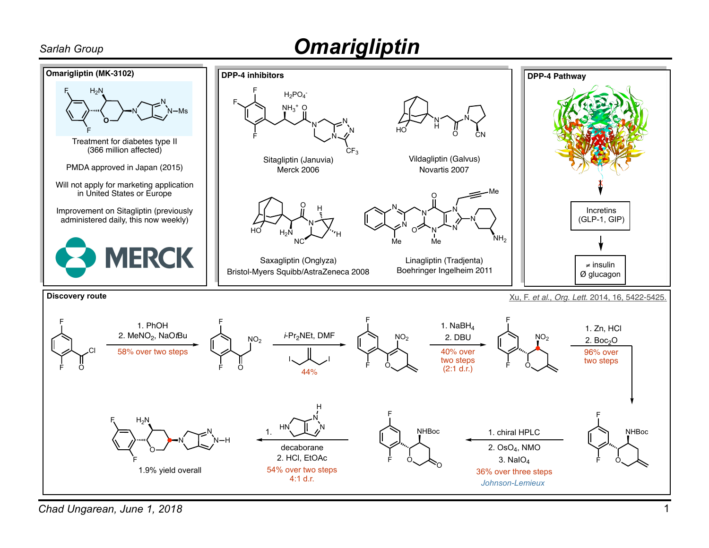## *Sarlah Group Omarigliptin*



*Chad Ungarean, June 1, 2018*